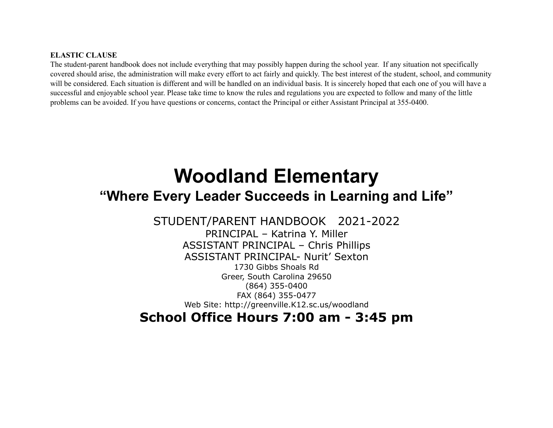# **ELASTIC CLAUSE**

The student-parent handbook does not include everything that may possibly happen during the school year. If any situation not specifically covered should arise, the administration will make every effort to act fairly and quickly. The best interest of the student, school, and community will be considered. Each situation is different and will be handled on an individual basis. It is sincerely hoped that each one of you will have a successful and enjoyable school year. Please take time to know the rules and regulations you are expected to follow and many of the little problems can be avoided. If you have questions or concerns, contact the Principal or either Assistant Principal at 355-0400.

# **Woodland Elementary "Where Every Leader Succeeds in Learning and Life"**

STUDENT/PARENT HANDBOOK 2021-2022 PRINCIPAL – Katrina Y. Miller ASSISTANT PRINCIPAL – Chris Phillips ASSISTANT PRINCIPAL- Nurit' Sexton 1730 Gibbs Shoals Rd Greer, South Carolina 29650 (864) 355-0400 FAX (864) 355-0477 Web Site: http://greenville.K12.sc.us/woodland

**School Office Hours 7:00 am - 3:45 pm**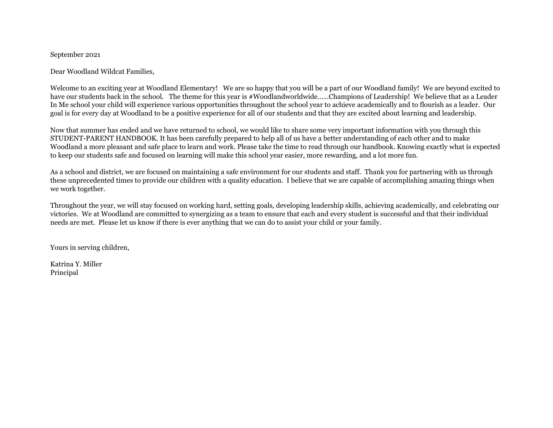## September 2021

Dear Woodland Wildcat Families,

Welcome to an exciting year at Woodland Elementary! We are so happy that you will be a part of our Woodland family! We are beyond excited to have our students back in the school. The theme for this year is #Woodlandworldwide……Champions of Leadership! We believe that as a Leader In Me school your child will experience various opportunities throughout the school year to achieve academically and to flourish as a leader. Our goal is for every day at Woodland to be a positive experience for all of our students and that they are excited about learning and leadership.

Now that summer has ended and we have returned to school, we would like to share some very important information with you through this STUDENT-PARENT HANDBOOK. It has been carefully prepared to help all of us have a better understanding of each other and to make Woodland a more pleasant and safe place to learn and work. Please take the time to read through our handbook. Knowing exactly what is expected to keep our students safe and focused on learning will make this school year easier, more rewarding, and a lot more fun.

As a school and district, we are focused on maintaining a safe environment for our students and staff. Thank you for partnering with us through these unprecedented times to provide our children with a quality education. I believe that we are capable of accomplishing amazing things when we work together.

Throughout the year, we will stay focused on working hard, setting goals, developing leadership skills, achieving academically, and celebrating our victories. We at Woodland are committed to synergizing as a team to ensure that each and every student is successful and that their individual needs are met. Please let us know if there is ever anything that we can do to assist your child or your family.

Yours in serving children,

Katrina Y. Miller Principal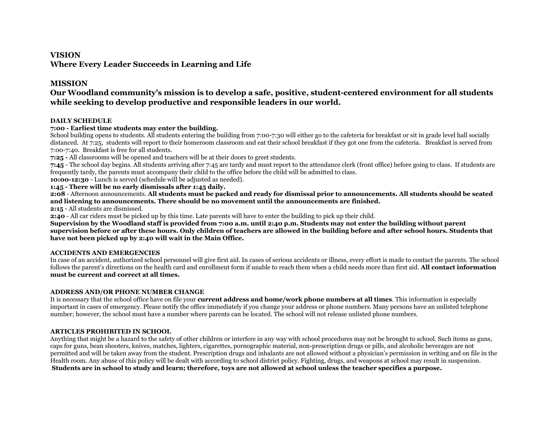## **VISION**

**Where Every Leader Succeeds in Learning and Life**

# **MISSION**

# **Our Woodland community's mission is to develop a safe, positive, student-centered environment for all students while seeking to develop productive and responsible leaders in our world.**

## **DAILY SCHEDULE**

## **7:00 - Earliest time students may enter the building.**

School building opens to students. All students entering the building from 7:00-7:30 will either go to the cafeteria for breakfast or sit in grade level hall socially distanced. At 7:25, students will report to their homeroom classroom and eat their school breakfast if they got one from the cafeteria. Breakfast is served from 7:00-7:40. Breakfast is free for all students.

**7:25 -** All classrooms will be opened and teachers will be at their doors to greet students.

**7:45** - The school day begins. All students arriving after 7:45 are tardy and must report to the attendance clerk (front office) before going to class. If students are frequently tardy, the parents must accompany their child to the office before the child will be admitted to class.

**10:00-12:30** - Lunch is served (schedule will be adjusted as needed).

**1:45 - There will be no early dismissals after 1:45 daily.**

**2:08** - Afternoon announcements. **All students must be packed and ready for dismissal prior to announcements. All students should be seated and listening to announcements. There should be no movement until the announcements are finished.**

**2:15** - All students are dismissed.

**2:40** - All car riders must be picked up by this time. Late parents will have to enter the building to pick up their child.

**Supervision by the Woodland staff is provided from 7:00 a.m. until 2:40 p.m. Students may not enter the building without parent supervision before or after these hours. Only children of teachers are allowed in the building before and after school hours. Students that have not been picked up by 2:40 will wait in the Main Office.** 

## **ACCIDENTS AND EMERGENCIES**

In case of an accident, authorized school personnel will give first aid. In cases of serious accidents or illness, every effort is made to contact the parents. The school follows the parent's directions on the health card and enrollment form if unable to reach them when a child needs more than first aid. **All contact information must be current and correct at all times.**

## **ADDRESS AND/OR PHONE NUMBER CHANGE**

It is necessary that the school office have on file your **current address and home/work phone numbers at all times**. This information is especially important in cases of emergency. Please notify the office immediately if you change your address or phone numbers. Many persons have an unlisted telephone number; however, the school must have a number where parents can be located. The school will not release unlisted phone numbers.

## **ARTICLES PROHIBITED IN SCHOOL**

Anything that might be a hazard to the safety of other children or interfere in any way with school procedures may not be brought to school. Such items as guns, caps for guns, bean shooters, knives, matches, lighters, cigarettes, pornographic material, non-prescription drugs or pills, and alcoholic beverages are not permitted and will be taken away from the student. Prescription drugs and inhalants are not allowed without a physician's permission in writing and on file in the Health room. Any abuse of this policy will be dealt with according to school district policy. Fighting, drugs, and weapons at school may result in suspension. **Students are in school to study and learn; therefore, toys are not allowed at school unless the teacher specifies a purpose.**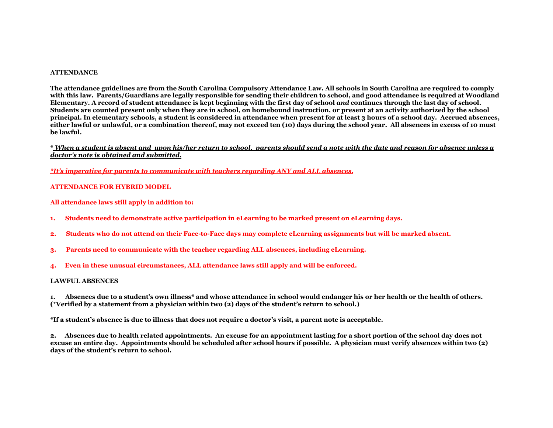#### **ATTENDANCE**

**The attendance guidelines are from the South Carolina Compulsory Attendance Law. All schools in South Carolina are required to comply with this law. Parents/Guardians are legally responsible for sending their children to school, and good attendance is required at Woodland Elementary. A record of student attendance is kept beginning with the first day of school** *and* **continues through the last day of school. Students are counted present only when they are in school, on homebound instruction, or present at an activity authorized by the school principal. In elementary schools, a student is considered in attendance when present for at least 3 hours of a school day. Accrued absences, either lawful or unlawful, or a combination thereof, may not exceed ten (10) days during the school year. All absences in excess of 10 must be lawful.**

**\*** *When a student is absent and upon his/her return to school, parents should send a note with the date and reason for absence unless a doctor's note is obtained and submitted.*

*\*It's imperative for parents to communicate with teachers regarding ANY and ALL absences.*

#### **ATTENDANCE FOR HYBRID MODEL**

**All attendance laws still apply in addition to:**

- **1. Students need to demonstrate active participation in eLearning to be marked present on eLearning days.**
- **2. Students who do not attend on their Face-to-Face days may complete eLearning assignments but will be marked absent.**
- **3. Parents need to communicate with the teacher regarding ALL absences, including eLearning.**
- **4. Even in these unusual circumstances, ALL attendance laws still apply and will be enforced.**

#### **LAWFUL ABSENCES**

**1. Absences due to a student's own illness\* and whose attendance in school would endanger his or her health or the health of others. (\*Verified by a statement from a physician within two (2) days of the student's return to school.)**

**\*If a student's absence is due to illness that does not require a doctor's visit, a parent note is acceptable.**

**2. Absences due to health related appointments. An excuse for an appointment lasting for a short portion of the school day does not excuse an entire day. Appointments should be scheduled after school hours if possible. A physician must verify absences within two (2) days of the student's return to school.**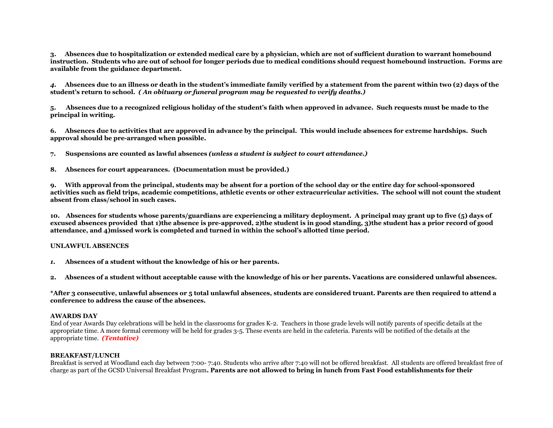**3. Absences due to hospitalization or extended medical care by a physician, which are not of sufficient duration to warrant homebound instruction. Students who are out of school for longer periods due to medical conditions should request homebound instruction. Forms are available from the guidance department.**

*4.* **Absences due to an illness or death in the student's immediate family verified by a statement from the parent within two (2) days of the student's return to school.** *( An obituary or funeral program may be requested to verify deaths.)*

**5. Absences due to a recognized religious holiday of the student's faith when approved in advance. Such requests must be made to the principal in writing.**

**6. Absences due to activities that are approved in advance by the principal. This would include absences for extreme hardships. Such approval should be pre-arranged when possible.**

**7. Suspensions are counted as lawful absences** *(unless a student is subject to court attendance.)*

**8. Absences for court appearances. (Documentation must be provided.)**

**9. With approval from the principal, students may be absent for a portion of the school day or the entire day for school-sponsored activities such as field trips, academic competitions, athletic events or other extracurricular activities. The school will not count the student absent from class/school in such cases.**

**10. Absences for students whose parents/guardians are experiencing a military deployment. A principal may grant up to five (5) days of excused absences provided that 1)the absence is pre-approved, 2)the student is in good standing, 3)the student has a prior record of good attendance, and 4)missed work is completed and turned in within the school's allotted time period.**

#### **UNLAWFUL ABSENCES**

*1.* **Absences of a student without the knowledge of his or her parents.**

**2. Absences of a student without acceptable cause with the knowledge of his or her parents. Vacations are considered unlawful absences.**

**\*After 3 consecutive, unlawful absences or 5 total unlawful absences, students are considered truant. Parents are then required to attend a conference to address the cause of the absences.**

#### **AWARDS DAY**

End of year Awards Day celebrations will be held in the classrooms for grades K-2. Teachers in those grade levels will notify parents of specific details at the appropriate time. A more formal ceremony will be held for grades 3-5. These events are held in the cafeteria. Parents will be notified of the details at the appropriate time. *(Tentative)*

#### **BREAKFAST/LUNCH**

Breakfast is served at Woodland each day between 7:00- 7:40. Students who arrive after 7:40 will not be offered breakfast. All students are offered breakfast free of charge as part of the GCSD Universal Breakfast Program**. Parents are not allowed to bring in lunch from Fast Food establishments for their**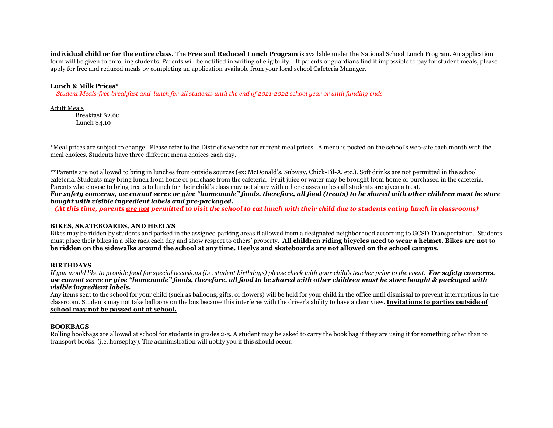**individual child or for the entire class.** The **Free and Reduced Lunch Program** is available under the National School Lunch Program. An application form will be given to enrolling students. Parents will be notified in writing of eligibility. If parents or guardians find it impossible to pay for student meals, please apply for free and reduced meals by completing an application available from your local school Cafeteria Manager.

#### **Lunch & Milk Prices\***

*Student Meals-free breakfast and lunch for all students until the end of 2021-2022 school year or until funding ends*

#### Adult Meals

Breakfast \$2.60 Lunch \$4.10

\*Meal prices are subject to change. Please refer to the District's website for current meal prices. A menu is posted on the school's web-site each month with the meal choices. Students have three different menu choices each day.

\*\*Parents are not allowed to bring in lunches from outside sources (ex: McDonald's, Subway, Chick-Fil-A, etc.). Soft drinks are not permitted in the school cafeteria. Students may bring lunch from home or purchase from the cafeteria. Fruit juice or water may be brought from home or purchased in the cafeteria. Parents who choose to bring treats to lunch for their child's class may not share with other classes unless all students are given a treat. *For safety concerns, we cannot serve or give "homemade" foods, therefore, all food (treats) to be shared with other children must be store bought with visible ingredient labels and pre-packaged.*

*(At this time, parents are not permitted to visit the school to eat lunch with their child due to students eating lunch in classrooms)*

#### **BIKES, SKATEBOARDS, AND HEELYS**

Bikes may be ridden by students and parked in the assigned parking areas if allowed from a designated neighborhood according to GCSD Transportation. Students must place their bikes in a bike rack each day and show respect to others' property. **All children riding bicycles need to wear a helmet. Bikes are not to be ridden on the sidewalks around the school at any time. Heelys and skateboards are not allowed on the school campus.**

#### **BIRTHDAYS**

*If you would like to provide food for special occasions (i.e. student birthdays) please check with your child's teacher prior to the event. For safety concerns, we cannot serve or give "homemade" foods, therefore, all food to be shared with other children must be store bought & packaged with visible ingredient labels.*

Any items sent to the school for your child (such as balloons, gifts, or flowers) will be held for your child in the office until dismissal to prevent interruptions in the classroom. Students may not take balloons on the bus because this interferes with the driver's ability to have a clear view. **Invitations to parties outside of school may not be passed out at school.**

#### **BOOKBAGS**

Rolling bookbags are allowed at school for students in grades 2-5. A student may be asked to carry the book bag if they are using it for something other than to transport books. (i.e. horseplay). The administration will notify you if this should occur.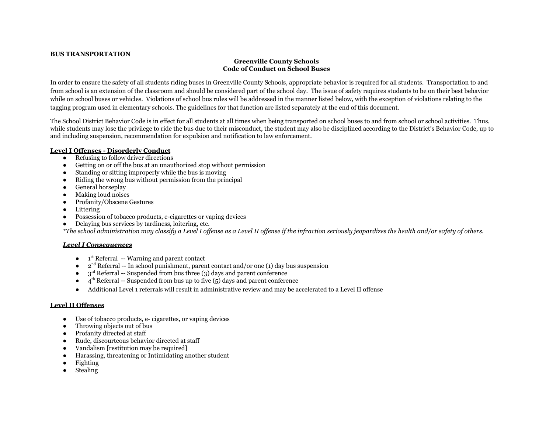#### **BUS TRANSPORTATION**

#### **Greenville County Schools Code of Conduct on School Buses**

In order to ensure the safety of all students riding buses in Greenville County Schools, appropriate behavior is required for all students. Transportation to and from school is an extension of the classroom and should be considered part of the school day. The issue of safety requires students to be on their best behavior while on school buses or vehicles. Violations of school bus rules will be addressed in the manner listed below, with the exception of violations relating to the tagging program used in elementary schools. The guidelines for that function are listed separately at the end of this document.

The School District Behavior Code is in effect for all students at all times when being transported on school buses to and from school or school activities. Thus, while students may lose the privilege to ride the bus due to their misconduct, the student may also be disciplined according to the District's Behavior Code, up to and including suspension, recommendation for expulsion and notification to law enforcement.

#### **Level I Offenses - Disorderly Conduct**

- Refusing to follow driver directions
- Getting on or off the bus at an unauthorized stop without permission
- Standing or sitting improperly while the bus is moving
- Riding the wrong bus without permission from the principal
- General horseplay
- Making loud noises
- Profanity/Obscene Gestures
- Littering
- Possession of tobacco products, e-cigarettes or vaping devices
- Delaying bus services by tardiness, loitering, etc.

*\*The school administration may classify a Level I offense as a Level II offense if the infraction seriously jeopardizes the health and/or safety of others.*

#### *Level I Consequences*

- 1<sup>st</sup> Referral -- Warning and parent contact
- $2<sup>nd</sup> Referral -- In school punishment, parent contact and/or one (1) day bus suspension$
- $\bullet$  3<sup>rd</sup> Referral -- Suspended from bus three (3) days and parent conference
- $\bullet$  4<sup>th</sup> Referral -- Suspended from bus up to five (5) days and parent conference
- Additional Level 1 referrals will result in administrative review and may be accelerated to a Level II offense

#### **Level II Offenses**

- Use of tobacco products, e- cigarettes, or vaping devices
- Throwing objects out of bus
- Profanity directed at staff
- Rude, discourteous behavior directed at staff
- Vandalism [restitution may be required]
- Harassing, threatening or Intimidating another student
- Fighting
- **Stealing**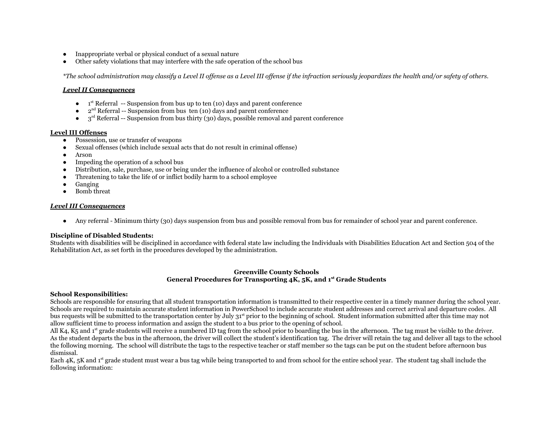- Inappropriate verbal or physical conduct of a sexual nature
- Other safety violations that may interfere with the safe operation of the school bus

*\*The school administration may classify a Level II offense as a Level III offense if the infraction seriously jeopardizes the health and/or safety of others.*

#### *Level II Consequences*

- $\bullet$  1<sup>st</sup> Referral -- Suspension from bus up to ten (10) days and parent conference
- $\bullet$  2<sup>nd</sup> Referral -- Suspension from bus ten (10) days and parent conference
- $\bullet$  3<sup>rd</sup> Referral -- Suspension from bus thirty (30) days, possible removal and parent conference

## **Level III Offenses**

- Possession, use or transfer of weapons
- Sexual offenses (which include sexual acts that do not result in criminal offense)
- Arson
- Impeding the operation of a school bus
- Distribution, sale, purchase, use or being under the influence of alcohol or controlled substance
- Threatening to take the life of or inflict bodily harm to a school employee
- Ganging
- Bomb threat

## *Level III Consequences*

● Any referral - Minimum thirty (30) days suspension from bus and possible removal from bus for remainder of school year and parent conference.

## **Discipline of Disabled Students:**

Students with disabilities will be disciplined in accordance with federal state law including the Individuals with Disabilities Education Act and Section 504 of the Rehabilitation Act, as set forth in the procedures developed by the administration.

#### **Greenville County Schools General Procedures for Transporting 4K, 5K, and 1st Grade Students**

## **School Responsibilities:**

Schools are responsible for ensuring that all student transportation information is transmitted to their respective center in a timely manner during the school year. Schools are required to maintain accurate student information in PowerSchool to include accurate student addresses and correct arrival and departure codes. All bus requests will be submitted to the transportation center by July 31<sup>st</sup> prior to the beginning of school. Student information submitted after this time may not allow sufficient time to process information and assign the student to a bus prior to the opening of school.

All K4, K5 and  $1<sup>st</sup>$  grade students will receive a numbered ID tag from the school prior to boarding the bus in the afternoon. The tag must be visible to the driver. As the student departs the bus in the afternoon, the driver will collect the student's identification tag. The driver will retain the tag and deliver all tags to the school the following morning. The school will distribute the tags to the respective teacher or staff member so the tags can be put on the student before afternoon bus dismissal.

Each 4K, 5K and 1<sup>st</sup> grade student must wear a bus tag while being transported to and from school for the entire school year. The student tag shall include the following information: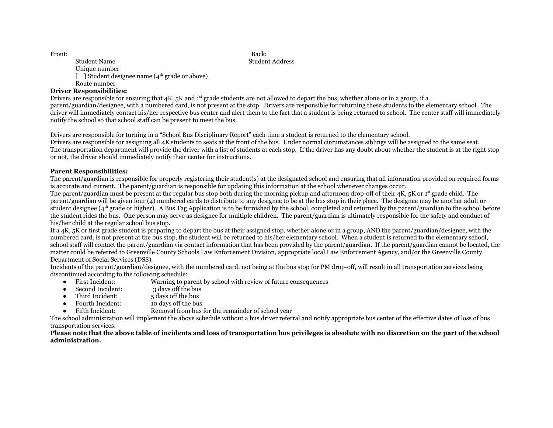Front: Back: Back: Back: Back: Back: Back: Back: Back: Back: Back: Back: Back: Back: Back: Back: Back: Back: Back: Back: Back: Back: Back: Back: Back: Back: Back: Back: Back: Back: Back: Back: Back: Back: Back: Back: Back:

Student Name Student Address Unique number [ ] Student designee name  $(4<sup>th</sup>$  grade or above) Route number

# **Driver Responsibilities:**

Drivers are responsible for ensuring that 4K, 5K and 1<sup>st</sup> grade students are not allowed to depart the bus, whether alone or in a group, if a parent/guardian/designee, with a numbered card, is not present at the stop. Drivers are responsible for returning these students to the elementary school. The driver will immediately contact his/her respective bus center and alert them to the fact that a student is being returned to school. The center staff will immediately notify the school so that school staff can be present to meet the bus.

Drivers are responsible for turning in a "School Bus Disciplinary Report" each time a student is returned to the elementary school.

Drivers are responsible for assigning all 4K students to seats at the front of the bus. Under normal circumstances siblings will be assigned to the same seat. The transportation department will provide the driver with a list of students at each stop. If the driver has any doubt about whether the student is at the right stop or not, the driver should immediately notify their center for instructions.

## **Parent Responsibilities:**

The parent/guardian is responsible for properly registering their student(s) at the designated school and ensuring that all information provided on required forms is accurate and current. The parent/guardian is responsible for updating this information at the school whenever changes occur.

The parent/guardian must be present at the regular bus stop both during the morning pickup and afternoon drop-off of their  $4K$ ,  $5K$  or  $1<sup>st</sup>$  grade child. The parent/guardian will be given four (4) numbered cards to distribute to any designee to be at the bus stop in their place. The designee may be another adult or student designee ( $4<sup>th</sup>$  grade or higher). A Bus Tag Application is to be furnished by the school, completed and returned by the parent/guardian to the school before the student rides the bus. One person may serve as designee for multiple children. The parent/guardian is ultimately responsible for the safety and conduct of his/her child at the regular school bus stop.

If a 4K, 5K or first grade student is preparing to depart the bus at their assigned stop, whether alone or in a group, AND the parent/guardian/designee, with the numbered card, is not present at the bus stop, the student will be returned to his/her elementary school. When a student is returned to the elementary school, school staff will contact the parent/guardian via contact information that has been provided by the parent/guardian. If the parent/guardian cannot be located, the matter could be referred to Greenville County Schools Law Enforcement Division, appropriate local Law Enforcement Agency, and/or the Greenville County Department of Social Services (DSS).

Incidents of the parent/guardian/designee, with the numbered card, not being at the bus stop for PM drop-off, will result in all transportation services being discontinued according to the following schedule:

- First Incident: Warning to parent by school with review of future consequences
- Second Incident: 3 days off the bus
- Third Incident: 5 days off the bus
- Fourth Incident: 10 days off the bus
- Fifth Incident: Removal from bus for the remainder of school year

The school administration will implement the above schedule without a bus driver referral and notify appropriate bus center of the effective dates of loss of bus transportation services.

#### **Please note that the above table of incidents and loss of transportation bus privileges is absolute with no discretion on the part of the school administration.**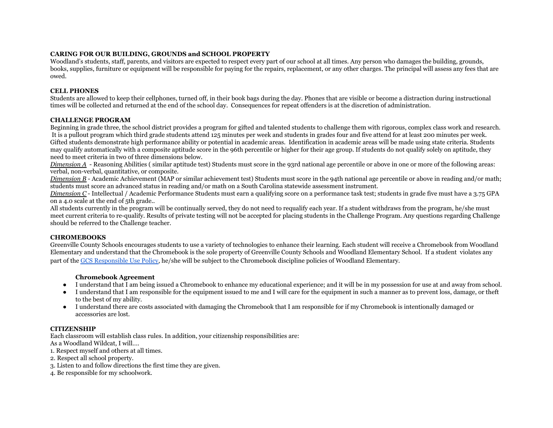## **CARING FOR OUR BUILDING, GROUNDS and SCHOOL PROPERTY**

Woodland's students, staff, parents, and visitors are expected to respect every part of our school at all times. Any person who damages the building, grounds, books, supplies, furniture or equipment will be responsible for paying for the repairs, replacement, or any other charges. The principal will assess any fees that are owed.

## **CELL PHONES**

Students are allowed to keep their cellphones, turned off, in their book bags during the day. Phones that are visible or become a distraction during instructional times will be collected and returned at the end of the school day. Consequences for repeat offenders is at the discretion of administration.

## **CHALLENGE PROGRAM**

Beginning in grade three, the school district provides a program for gifted and talented students to challenge them with rigorous, complex class work and research. It is a pullout program which third grade students attend 125 minutes per week and students in grades four and five attend for at least 200 minutes per week. Gifted students demonstrate high performance ability or potential in academic areas. Identification in academic areas will be made using state criteria. Students may qualify automatically with a composite aptitude score in the 96th percentile or higher for their age group. If students do not qualify solely on aptitude, they need to meet criteria in two of three dimensions below.

*Dimension A* - Reasoning Abilities (similar aptitude test) Students must score in the 93rd national age percentile or above in one or more of the following areas: verbal, non-verbal, quantitative, or composite.

*Dimension B* - Academic Achievement (MAP or similar achievement test) Students must score in the 94th national age percentile or above in reading and/or math; students must score an advanced status in reading and/or math on a South Carolina statewide assessment instrument.

*Dimension C* - Intellectual / Academic Performance Students must earn a qualifying score on a performance task test; students in grade five must have a 3.75 GPA on a 4.0 scale at the end of 5th grade..

All students currently in the program will be continually served, they do not need to requalify each year. If a student withdraws from the program, he/she must meet current criteria to re-qualify. Results of private testing will not be accepted for placing students in the Challenge Program. Any questions regarding Challenge should be referred to the Challenge teacher.

## **CHROMEBOOKS**

Greenville County Schools encourages students to use a variety of technologies to enhance their learning. Each student will receive a Chromebook from Woodland Elementary and understand that the Chromebook is the sole property of Greenville County Schools and Woodland Elementary School. If a student violates any part of the [GCS Responsible Use Policy,](https://drive.google.com/file/d/1H5uKp3m7fBdyi3A7HcEn3JHDAXZf1SUv/view?usp=sharing) he/she will be subject to the Chromebook discipline policies of Woodland Elementary.

## **Chromebook Agreement**

- I understand that I am being issued a Chromebook to enhance my educational experience; and it will be in my possession for use at and away from school.
- I understand that I am responsible for the equipment issued to me and I will care for the equipment in such a manner as to prevent loss, damage, or theft to the best of my ability.
- I understand there are costs associated with damaging the Chromebook that I am responsible for if my Chromebook is intentionally damaged or accessories are lost.

## **CITIZENSHIP**

Each classroom will establish class rules. In addition, your citizenship responsibilities are: As a Woodland Wildcat, I will….

1. Respect myself and others at all times.

- 2. Respect all school property.
- 3. Listen to and follow directions the first time they are given.
- 4. Be responsible for my schoolwork.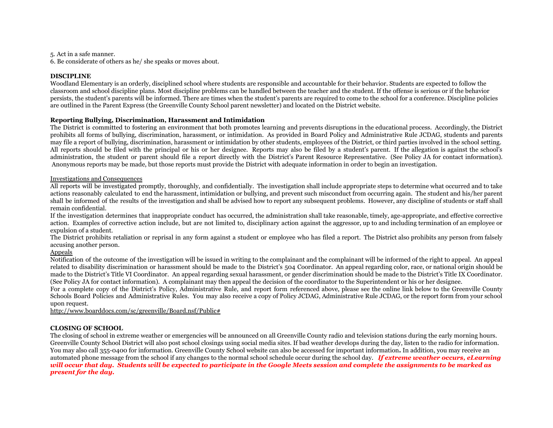5. Act in a safe manner.

6. Be considerate of others as he/ she speaks or moves about.

#### **DISCIPLINE**

Woodland Elementary is an orderly, disciplined school where students are responsible and accountable for their behavior. Students are expected to follow the classroom and school discipline plans. Most discipline problems can be handled between the teacher and the student. If the offense is serious or if the behavior persists, the student's parents will be informed. There are times when the student's parents are required to come to the school for a conference. Discipline policies are outlined in the Parent Express (the Greenville County School parent newsletter) and located on the District website.

#### **Reporting Bullying, Discrimination, Harassment and Intimidation**

The District is committed to fostering an environment that both promotes learning and prevents disruptions in the educational process. Accordingly, the District prohibits all forms of bullying, discrimination, harassment, or intimidation. As provided in Board Policy and Administrative Rule JCDAG, students and parents may file a report of bullying, discrimination, harassment or intimidation by other students, employees of the District, or third parties involved in the school setting. All reports should be filed with the principal or his or her designee. Reports may also be filed by a student's parent. If the allegation is against the school's administration, the student or parent should file a report directly with the District's Parent Resource Representative. (See Policy JA for contact information). Anonymous reports may be made, but those reports must provide the District with adequate information in order to begin an investigation.

#### Investigations and Consequences

All reports will be investigated promptly, thoroughly, and confidentially. The investigation shall include appropriate steps to determine what occurred and to take actions reasonably calculated to end the harassment, intimidation or bullying, and prevent such misconduct from occurring again. The student and his/her parent shall be informed of the results of the investigation and shall be advised how to report any subsequent problems. However, any discipline of students or staff shall remain confidential.

If the investigation determines that inappropriate conduct has occurred, the administration shall take reasonable, timely, age-appropriate, and effective corrective action. Examples of corrective action include, but are not limited to, disciplinary action against the aggressor, up to and including termination of an employee or expulsion of a student.

The District prohibits retaliation or reprisal in any form against a student or employee who has filed a report. The District also prohibits any person from falsely accusing another person.

## Appeals

Notification of the outcome of the investigation will be issued in writing to the complainant and the complainant will be informed of the right to appeal. An appeal related to disability discrimination or harassment should be made to the District's 504 Coordinator. An appeal regarding color, race, or national origin should be made to the District's Title VI Coordinator. An appeal regarding sexual harassment, or gender discrimination should be made to the District's Title IX Coordinator. (See Policy JA for contact information). A complainant may then appeal the decision of the coordinator to the Superintendent or his or her designee.

For a complete copy of the District's Policy, Administrative Rule, and report form referenced above, please see the online link below to the Greenville County Schools Board Policies and Administrative Rules. You may also receive a copy of Policy JCDAG, Administrative Rule JCDAG, or the report form from your school upon request.

[http://www.boarddocs.com/sc/greenville/Board.nsf/Public#](http://www.boarddocs.com/sc/greenville/Board.nsf/Public)

## **CLOSING OF SCHOOL**

The closing of school in extreme weather or emergencies will be announced on all Greenville County radio and television stations during the early morning hours. Greenville County School District will also post school closings using social media sites. If bad weather develops during the day, listen to the radio for information. You may also call 355-0400 for information. Greenville County School website can also be accessed for important information**.** In addition, you may receive an automated phone message from the school if any changes to the normal school schedule occur during the school day. *If extreme weather occurs, eLearning will occur that day. Students will be expected to participate in the Google Meets session and complete the assignments to be marked as present for the day.*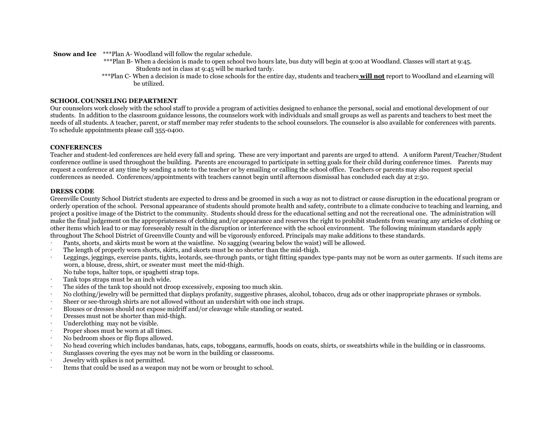**Snow and Ice** \*\*\*Plan A- Woodland will follow the regular schedule.

- \*\*\*Plan B- When a decision is made to open school two hours late, bus duty will begin at 9:00 at Woodland. Classes will start at 9:45. Students not in class at 9:45 will be marked tardy.
- \*\*\*Plan C- When a decision is made to close schools for the entire day, students and teachers **will not** report to Woodland and eLearning will be utilized.

#### **SCHOOL COUNSELING DEPARTMENT**

Our counselors work closely with the school staff to provide a program of activities designed to enhance the personal, social and emotional development of our students. In addition to the classroom guidance lessons, the counselors work with individuals and small groups as well as parents and teachers to best meet the needs of all students. A teacher, parent, or staff member may refer students to the school counselors. The counselor is also available for conferences with parents. To schedule appointments please call 355-0400.

#### **CONFERENCES**

Teacher and student-led conferences are held every fall and spring. These are very important and parents are urged to attend. A uniform Parent/Teacher/Student conference outline is used throughout the building. Parents are encouraged to participate in setting goals for their child during conference times. Parents may request a conference at any time by sending a note to the teacher or by emailing or calling the school office. Teachers or parents may also request special conferences as needed. Conferences/appointments with teachers cannot begin until afternoon dismissal has concluded each day at 2:50.

#### **DRESS CODE**

Greenville County School District students are expected to dress and be groomed in such a way as not to distract or cause disruption in the educational program or orderly operation of the school. Personal appearance of students should promote health and safety, contribute to a climate conducive to teaching and learning, and project a positive image of the District to the community. Students should dress for the educational setting and not the recreational one. The administration will make the final judgement on the appropriateness of clothing and/or appearance and reserves the right to prohibit students from wearing any articles of clothing or other items which lead to or may foreseeably result in the disruption or interference with the school environment. The following minimum standards apply throughout The School District of Greenville County and will be vigorously enforced. Principals may make additions to these standards.

- · Pants, shorts, and skirts must be worn at the waistline. No sagging (wearing below the waist) will be allowed.
- The length of properly worn shorts, skirts, and skorts must be no shorter than the mid-thigh.
- Leggings, jeggings, exercise pants, tights, leotards, see-through pants, or tight fitting spandex type-pants may not be worn as outer garments. If such items are worn, a blouse, dress, shirt, or sweater must meet the mid-thigh. No tube tops, halter tops, or spaghetti strap tops.
- Tank tops straps must be an inch wide.
- The sides of the tank top should not droop excessively, exposing too much skin.
- · No clothing/jewelry will be permitted that displays profanity, suggestive phrases, alcohol, tobacco, drug ads or other inappropriate phrases or symbols.
- Sheer or see-through shirts are not allowed without an undershirt with one inch straps.
- · Blouses or dresses should not expose midriff and/or cleavage while standing or seated.
- Dresses must not be shorter than mid-thigh.
- Underclothing may not be visible.
- Proper shoes must be worn at all times.
- · No bedroom shoes or flip flops allowed.
- · No head covering which includes bandanas, hats, caps, toboggans, earmuffs, hoods on coats, shirts, or sweatshirts while in the building or in classrooms.
- Sunglasses covering the eyes may not be worn in the building or classrooms.
- · Jewelry with spikes is not permitted.
- Items that could be used as a weapon may not be worn or brought to school.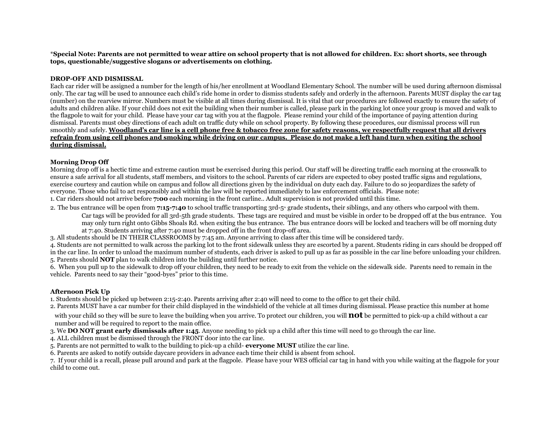\***Special Note: Parents are not permitted to wear attire on school property that is not allowed for children. Ex: short shorts, see through tops, questionable/suggestive slogans or advertisements on clothing.**

#### **DROP-OFF AND DISMISSAL**

Each car rider will be assigned a number for the length of his/her enrollment at Woodland Elementary School. The number will be used during afternoon dismissal only. The car tag will be used to announce each child's ride home in order to dismiss students safely and orderly in the afternoon. Parents MUST display the car tag (number) on the rearview mirror. Numbers must be visible at all times during dismissal. It is vital that our procedures are followed exactly to ensure the safety of adults and children alike. If your child does not exit the building when their number is called, please park in the parking lot once your group is moved and walk to the flagpole to wait for your child. Please have your car tag with you at the flagpole. Please remind your child of the importance of paying attention during dismissal. Parents must obey directions of each adult on traffic duty while on school property. By following these procedures, our dismissal process will run smoothly and safely. **Woodland's car line is a cell phone free & tobacco free zone for safety reasons, we respectfully request that all drivers refrain from using cell phones and smoking while driving on our campus. Please do not make a left hand turn when exiting the school during dismissal.**

#### **Morning Drop Off**

Morning drop off is a hectic time and extreme caution must be exercised during this period. Our staff will be directing traffic each morning at the crosswalk to ensure a safe arrival for all students, staff members, and visitors to the school. Parents of car riders are expected to obey posted traffic signs and regulations, exercise courtesy and caution while on campus and follow all directions given by the individual on duty each day. Failure to do so jeopardizes the safety of everyone. Those who fail to act responsibly and within the law will be reported immediately to law enforcement officials. Please note:

1. Car riders should not arrive before **7:00** each morning in the front carline.. Adult supervision is not provided until this time.

2. The bus entrance will be open from **7:15-7:40** to school traffic transporting 3rd-5<sup>\*</sup> grade students, their siblings, and any others who carpool with them.

Car tags will be provided for all 3rd-5th grade students. These tags are required and must be visible in order to be dropped off at the bus entrance. You may only turn right onto Gibbs Shoals Rd. when exiting the bus entrance. The bus entrance doors will be locked and teachers will be off morning duty at 7:40. Students arriving after 7:40 must be dropped off in the front drop-off area.

3. All students should be IN THEIR CLASSROOMS by 7:45 am. Anyone arriving to class after this time will be considered tardy.

4. Students are not permitted to walk across the parking lot to the front sidewalk unless they are escorted by a parent. Students riding in cars should be dropped off in the car line. In order to unload the maximum number of students, each driver is asked to pull up as far as possible in the car line before unloading your children. 5. Parents should **NOT** plan to walk children into the building until further notice.

6. When you pull up to the sidewalk to drop off your children, they need to be ready to exit from the vehicle on the sidewalk side. Parents need to remain in the vehicle. Parents need to say their "good-byes" prior to this time.

#### **Afternoon Pick Up**

1. Students should be picked up between 2:15-2:40. Parents arriving after 2:40 will need to come to the office to get their child.

2. Parents MUST have a car number for their child displayed in the windshield of the vehicle at all times during dismissal. Please practice this number at home

with your child so they will be sure to leave the building when you arrive. To protect our children, you will **not** be permitted to pick-up a child without a car number and will be required to report to the main office.

3. We **DO NOT grant early dismissals after 1:45**. Anyone needing to pick up a child after this time will need to go through the car line.

4. ALL children must be dismissed through the FRONT door into the car line.

5. Parents are not permitted to walk to the building to pick-up a child- **everyone MUST** utilize the car line.

6. Parents are asked to notify outside daycare providers in advance each time their child is absent from school.

7. If your child is a recall, please pull around and park at the flagpole. Please have your WES official car tag in hand with you while waiting at the flagpole for your child to come out.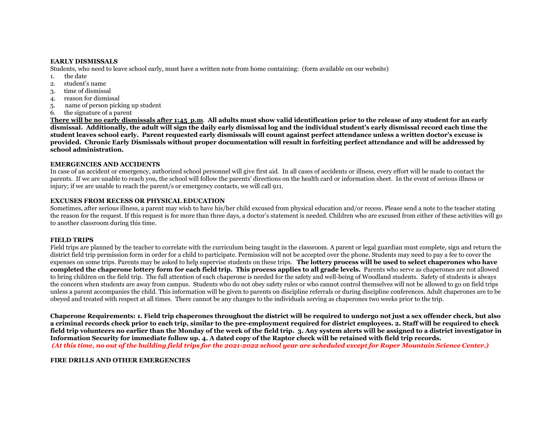#### **EARLY DISMISSALS**

Students, who need to leave school early, must have a written note from home containing: (form available on our website)

- 1. the date
- 2. student's name
- 3. time of dismissal
- 4. reason for dismissal
- 5. name of person picking up student
- 6. the signature of a parent

**There will be no early dismissals after 1:45 p.m**. **All adults must show valid identification prior to the release of any student for an early dismissal. Additionally, the adult will sign the daily early dismissal log and the individual student's early dismissal record each time the student leaves school early. Parent requested early dismissals will count against perfect attendance unless a written doctor's excuse is provided. Chronic Early Dismissals without proper documentation will result in forfeiting perfect attendance and will be addressed by school administration.**

#### **EMERGENCIES AND ACCIDENTS**

In case of an accident or emergency, authorized school personnel will give first aid. In all cases of accidents or illness, every effort will be made to contact the parents. If we are unable to reach you, the school will follow the parents' directions on the health card or information sheet. In the event of serious illness or injury; if we are unable to reach the parent/s or emergency contacts, we will call 911.

#### **EXCUSES FROM RECESS OR PHYSICAL EDUCATION**

Sometimes, after serious illness, a parent may wish to have his/her child excused from physical education and/or recess. Please send a note to the teacher stating the reason for the request. If this request is for more than three days, a doctor's statement is needed. Children who are excused from either of these activities will go to another classroom during this time.

#### **FIELD TRIPS**

Field trips are planned by the teacher to correlate with the curriculum being taught in the classroom. A parent or legal guardian must complete, sign and return the district field trip permission form in order for a child to participate. Permission will not be accepted over the phone. Students may need to pay a fee to cover the expenses on some trips. Parents may be asked to help supervise students on these trips. **The lottery process will be used to select chaperones who have completed the chaperone lottery form for each field trip. This process applies to all grade levels.** Parents who serve as chaperones are not allowed to bring children on the field trip. The full attention of each chaperone is needed for the safety and well-being of Woodland students. Safety of students is always the concern when students are away from campus. Students who do not obey safety rules or who cannot control themselves will not be allowed to go on field trips unless a parent accompanies the child. This information will be given to parents on discipline referrals or during discipline conferences. Adult chaperones are to be obeyed and treated with respect at all times. There cannot be any changes to the individuals serving as chaperones two weeks prior to the trip.

**Chaperone Requirements: 1. Field trip chaperones throughout the district will be required to undergo not just a sex offender check, but also a criminal records check prior to each trip, similar to the pre-employment required for district employees. 2. Staff will be required to check field trip volunteers no earlier than the Monday of the week of the field trip. 3. Any system alerts will be assigned to a district investigator in Information Security for immediate follow up. 4. A dated copy of the Raptor check will be retained with field trip records.** *(At this time, no out of the building field trips for the 2021-2022 school year are scheduled except for Roper Mountain Science Center.)*

#### **FIRE DRILLS AND OTHER EMERGENCIES**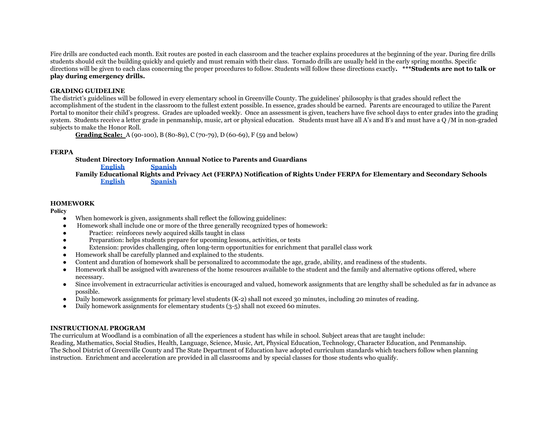Fire drills are conducted each month. Exit routes are posted in each classroom and the teacher explains procedures at the beginning of the year. During fire drills students should exit the building quickly and quietly and must remain with their class. Tornado drills are usually held in the early spring months. Specific directions will be given to each class concerning the proper procedures to follow. Students will follow these directions exactly**. \*\*\*Students are not to talk or play during emergency drills.**

#### **GRADING GUIDELINE**

The district's guidelines will be followed in every elementary school in Greenville County. The guidelines' philosophy is that grades should reflect the accomplishment of the student in the classroom to the fullest extent possible. In essence, grades should be earned. Parents are encouraged to utilize the Parent Portal to monitor their child's progress. Grades are uploaded weekly. Once an assessment is given, teachers have five school days to enter grades into the grading system. Students receive a letter grade in penmanship, music, art or physical education. Students must have all A's and B's and must have a Q /M in non-graded subjects to make the Honor Roll.

**Grading Scale:** A (90-100), B (80-89), C (70-79), D (60-69), F (59 and below)

## **FERPA**

**Student Directory Information Annual Notice to Parents and Guardians [English](https://drive.google.com/file/d/1UADF1OGBG9WX1GfNtUaf56js8qXqt35Z/view?usp=sharing) [Spanish](https://drive.google.com/file/d/1U-XdWJpJYotFtoqvxLWTHx7xZ34NNO7-/view?usp=sharing) Family Educational Rights and Privacy Act (FERPA) Notification of Rights Under FERPA for Elementary and Secondary Schools [English](https://drive.google.com/file/d/1VS3tTYXSB0qzfEJ9nujNwEZIBaPacp49/view?usp=sharing) [Spanish](https://drive.google.com/file/d/1VQtDhTJPxF63Ow-QgBh0WFFd0I0zR9DM/view?usp=sharing)**

#### **HOMEWORK**

**Policy**

- When homework is given, assignments shall reflect the following guidelines:
- Homework shall include one or more of the three generally recognized types of homework:
- Practice: reinforces newly acquired skills taught in class
- Preparation: helps students prepare for upcoming lessons, activities, or tests
- Extension: provides challenging, often long-term opportunities for enrichment that parallel class work
- Homework shall be carefully planned and explained to the students.
- Content and duration of homework shall be personalized to accommodate the age, grade, ability, and readiness of the students.
- Homework shall be assigned with awareness of the home resources available to the student and the family and alternative options offered, where necessary.
- Since involvement in extracurricular activities is encouraged and valued, homework assignments that are lengthy shall be scheduled as far in advance as possible.
- Daily homework assignments for primary level students (K-2) shall not exceed 30 minutes, including 20 minutes of reading.
- Daily homework assignments for elementary students (3-5) shall not exceed 60 minutes.

#### **INSTRUCTIONAL PROGRAM**

The curriculum at Woodland is a combination of all the experiences a student has while in school. Subject areas that are taught include: Reading, Mathematics, Social Studies, Health, Language, Science, Music, Art, Physical Education, Technology, Character Education, and Penmanship. The School District of Greenville County and The State Department of Education have adopted curriculum standards which teachers follow when planning instruction. Enrichment and acceleration are provided in all classrooms and by special classes for those students who qualify.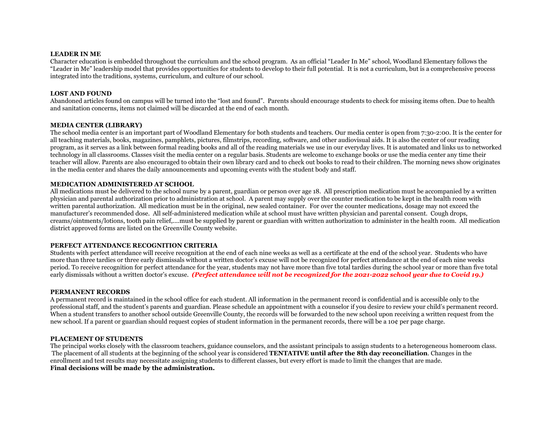#### **LEADER IN ME**

Character education is embedded throughout the curriculum and the school program. As an official "Leader In Me" school, Woodland Elementary follows the "Leader in Me" leadership model that provides opportunities for students to develop to their full potential. It is not a curriculum, but is a comprehensive process integrated into the traditions, systems, curriculum, and culture of our school.

#### **LOST AND FOUND**

Abandoned articles found on campus will be turned into the "lost and found". Parents should encourage students to check for missing items often. Due to health and sanitation concerns, items not claimed will be discarded at the end of each month.

## **MEDIA CENTER (LIBRARY)**

The school media center is an important part of Woodland Elementary for both students and teachers. Our media center is open from 7:30-2:00. It is the center for all teaching materials, books, magazines, pamphlets, pictures, filmstrips, recording, software, and other audiovisual aids. It is also the center of our reading program, as it serves as a link between formal reading books and all of the reading materials we use in our everyday lives. It is automated and links us to networked technology in all classrooms. Classes visit the media center on a regular basis. Students are welcome to exchange books or use the media center any time their teacher will allow. Parents are also encouraged to obtain their own library card and to check out books to read to their children. The morning news show originates in the media center and shares the daily announcements and upcoming events with the student body and staff.

## **MEDICATION ADMINISTERED AT SCHOOL**

All medications must be delivered to the school nurse by a parent, guardian or person over age 18. All prescription medication must be accompanied by a written physician and parental authorization prior to administration at school. A parent may supply over the counter medication to be kept in the health room with written parental authorization. All medication must be in the original, new sealed container. For over the counter medications, dosage may not exceed the manufacturer's recommended dose. All self-administered medication while at school must have written physician and parental consent. Cough drops, creams/ointments/lotions, tooth pain relief,....must be supplied by parent or guardian with written authorization to administer in the health room. All medication district approved forms are listed on the Greenville County website.

#### **PERFECT ATTENDANCE RECOGNITION CRITERIA**

Students with perfect attendance will receive recognition at the end of each nine weeks as well as a certificate at the end of the school year. Students who have more than three tardies or three early dismissals without a written doctor's excuse will not be recognized for perfect attendance at the end of each nine weeks period. To receive recognition for perfect attendance for the year, students may not have more than five total tardies during the school year or more than five total early dismissals without a written doctor's excuse. *(Perfect attendance will not be recognized for the 2021-2022 school year due to Covid 19.)*

#### **PERMANENT RECORDS**

A permanent record is maintained in the school office for each student. All information in the permanent record is confidential and is accessible only to the professional staff, and the student's parents and guardian. Please schedule an appointment with a counselor if you desire to review your child's permanent record. When a student transfers to another school outside Greenville County, the records will be forwarded to the new school upon receiving a written request from the new school. If a parent or guardian should request copies of student information in the permanent records, there will be a 10¢ per page charge.

## **PLACEMENT OF STUDENTS**

The principal works closely with the classroom teachers, guidance counselors, and the assistant principals to assign students to a heterogeneous homeroom class. The placement of all students at the beginning of the school year is considered **TENTATIVE until after the 8th day reconciliation**. Changes in the enrollment and test results may necessitate assigning students to different classes, but every effort is made to limit the changes that are made. **Final decisions will be made by the administration.**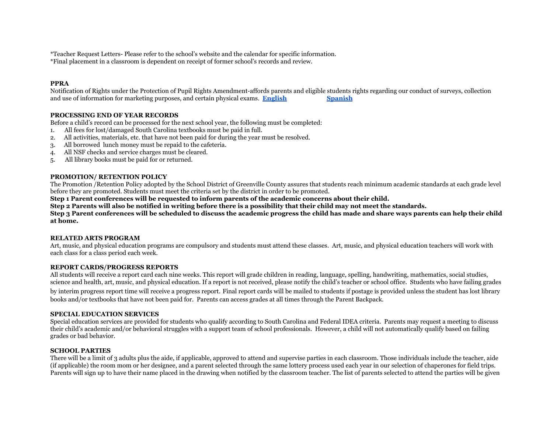\*Teacher Request Letters- Please refer to the school's website and the calendar for specific information. \*Final placement in a classroom is dependent on receipt of former school's records and review.

#### **PPRA**

Notification of Rights under the Protection of Pupil Rights Amendment-affords parents and eligible students rights regarding our conduct of surveys, collection and use of information for marketing purposes, and certain physical exams. **[English](https://drive.google.com/open?id=1UNpFz_LrjWnKIQ7ojQ44XYAj0ZFYYyJZ) [Spanish](https://drive.google.com/open?id=1UNsAEMRwFhnqz-tX6rGe746e6iUYKkYq)**

#### **PROCESSING END OF YEAR RECORDS**

Before a child's record can be processed for the next school year, the following must be completed:

- 1. All fees for lost/damaged South Carolina textbooks must be paid in full.
- 2. All activities, materials, etc. that have not been paid for during the year must be resolved.
- 3. All borrowed lunch money must be repaid to the cafeteria.
- 4. All NSF checks and service charges must be cleared.
- 5. All library books must be paid for or returned.

#### **PROMOTION/ RETENTION POLICY**

The Promotion /Retention Policy adopted by the School District of Greenville County assures that students reach minimum academic standards at each grade level before they are promoted. Students must meet the criteria set by the district in order to be promoted.

**Step 1 Parent conferences will be requested to inform parents of the academic concerns about their child.**

**Step 2 Parents will also be notified in writing before there is a possibility that their child may not meet the standards.**

**Step 3 Parent conferences will be scheduled to discuss the academic progress the child has made and share ways parents can help their child at home.**

#### **RELATED ARTS PROGRAM**

Art, music, and physical education programs are compulsory and students must attend these classes. Art, music, and physical education teachers will work with each class for a class period each week.

#### **REPORT CARDS/PROGRESS REPORTS**

All students will receive a report card each nine weeks. This report will grade children in reading, language, spelling, handwriting, mathematics, social studies, science and health, art, music, and physical education. If a report is not received, please notify the child's teacher or school office. Students who have failing grades by interim progress report time will receive a progress report. Final report cards will be mailed to students if postage is provided unless the student has lost library books and/or textbooks that have not been paid for. Parents can access grades at all times through the Parent Backpack.

#### **SPECIAL EDUCATION SERVICES**

Special education services are provided for students who qualify according to South Carolina and Federal IDEA criteria. Parents may request a meeting to discuss their child's academic and/or behavioral struggles with a support team of school professionals. However, a child will not automatically qualify based on failing grades or bad behavior.

#### **SCHOOL PARTIES**

There will be a limit of 3 adults plus the aide, if applicable, approved to attend and supervise parties in each classroom. Those individuals include the teacher, aide (if applicable) the room mom or her designee, and a parent selected through the same lottery process used each year in our selection of chaperones for field trips. Parents will sign up to have their name placed in the drawing when notified by the classroom teacher. The list of parents selected to attend the parties will be given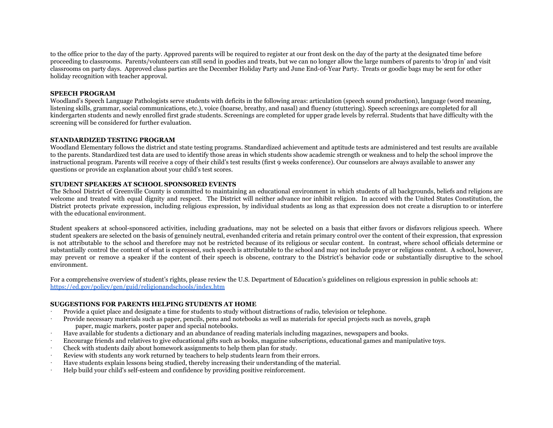to the office prior to the day of the party. Approved parents will be required to register at our front desk on the day of the party at the designated time before proceeding to classrooms. Parents/volunteers can still send in goodies and treats, but we can no longer allow the large numbers of parents to 'drop in' and visit classrooms on party days. Approved class parties are the December Holiday Party and June End-0f-Year Party. Treats or goodie bags may be sent for other holiday recognition with teacher approval.

#### **SPEECH PROGRAM**

Woodland's Speech Language Pathologists serve students with deficits in the following areas: articulation (speech sound production), language (word meaning, listening skills, grammar, social communications, etc.), voice (hoarse, breathy, and nasal) and fluency (stuttering). Speech screenings are completed for all kindergarten students and newly enrolled first grade students. Screenings are completed for upper grade levels by referral. Students that have difficulty with the screening will be considered for further evaluation.

#### **STANDARDIZED TESTING PROGRAM**

Woodland Elementary follows the district and state testing programs. Standardized achievement and aptitude tests are administered and test results are available to the parents. Standardized test data are used to identify those areas in which students show academic strength or weakness and to help the school improve the instructional program. Parents will receive a copy of their child's test results (first 9 weeks conference). Our counselors are always available to answer any questions or provide an explanation about your child's test scores.

#### **STUDENT SPEAKERS AT SCHOOL SPONSORED EVENTS**

The School District of Greenville County is committed to maintaining an educational environment in which students of all backgrounds, beliefs and religions are welcome and treated with equal dignity and respect. The District will neither advance nor inhibit religion. In accord with the United States Constitution, the District protects private expression, including religious expression, by individual students as long as that expression does not create a disruption to or interfere with the educational environment.

Student speakers at school-sponsored activities, including graduations, may not be selected on a basis that either favors or disfavors religious speech. Where student speakers are selected on the basis of genuinely neutral, evenhanded criteria and retain primary control over the content of their expression, that expression is not attributable to the school and therefore may not be restricted because of its religious or secular content. In contrast, where school officials determine or substantially control the content of what is expressed, such speech is attributable to the school and may not include prayer or religious content. A school, however, may prevent or remove a speaker if the content of their speech is obscene, contrary to the District's behavior code or substantially disruptive to the school environment.

For a comprehensive overview of student's rights, please review the U.S. Department of Education's guidelines on religious expression in public schools at: <https://ed.gov/policy/gen/guid/religionandschools/index.htm>

#### **SUGGESTIONS FOR PARENTS HELPING STUDENTS AT HOME**

- · Provide a quiet place and designate a time for students to study without distractions of radio, television or telephone.
- · Provide necessary materials such as paper, pencils, pens and notebooks as well as materials for special projects such as novels, graph paper, magic markers, poster paper and special notebooks.
- Have available for students a dictionary and an abundance of reading materials including magazines, newspapers and books.
- · Encourage friends and relatives to give educational gifts such as books, magazine subscriptions, educational games and manipulative toys.
- · Check with students daily about homework assignments to help them plan for study.
- Review with students any work returned by teachers to help students learn from their errors.
- · Have students explain lessons being studied, thereby increasing their understanding of the material.
- · Help build your child's self-esteem and confidence by providing positive reinforcement.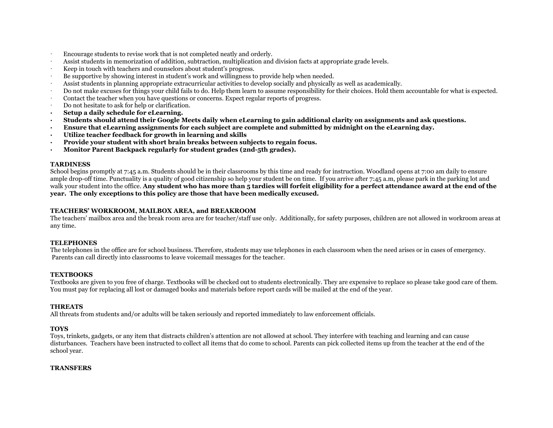- Encourage students to revise work that is not completed neatly and orderly.
- · Assist students in memorization of addition, subtraction, multiplication and division facts at appropriate grade levels.
- Keep in touch with teachers and counselors about student's progress.
- · Be supportive by showing interest in student's work and willingness to provide help when needed.
- · Assist students in planning appropriate extracurricular activities to develop socially and physically as well as academically.
- · Do not make excuses for things your child fails to do. Help them learn to assume responsibility for their choices. Hold them accountable for what is expected.
- Contact the teacher when you have questions or concerns. Expect regular reports of progress.
- · Do not hesitate to ask for help or clarification.
- **· Setup a daily schedule for eLearning.**
- **· Students should attend their Google Meets daily when eLearning to gain additional clarity on assignments and ask questions.**
- **· Ensure that eLearning assignments for each subject are complete and submitted by midnight on the eLearning day.**
- **· Utilize teacher feedback for growth in learning and skills**
- **· Provide your student with short brain breaks between subjects to regain focus.**
- **· Monitor Parent Backpack regularly for student grades (2nd-5th grades).**

#### **TARDINESS**

School begins promptly at 7:45 a.m. Students should be in their classrooms by this time and ready for instruction. Woodland opens at 7:00 am daily to ensure ample drop-off time. Punctuality is a quality of good citizenship so help your student be on time. If you arrive after 7:45 a.m, please park in the parking lot and walk your student into the office. **Any student who has more than 5 tardies will forfeit eligibility for a perfect attendance award at the end of the year. The only exceptions to this policy are those that have been medically excused.**

## **TEACHERS' WORKROOM, MAILBOX AREA, and BREAKROOM**

The teachers' mailbox area and the break room area are for teacher/staff use only. Additionally, for safety purposes, children are not allowed in workroom areas at any time.

#### **TELEPHONES**

The telephones in the office are for school business. Therefore, students may use telephones in each classroom when the need arises or in cases of emergency. Parents can call directly into classrooms to leave voicemail messages for the teacher.

## **TEXTBOOKS**

Textbooks are given to you free of charge. Textbooks will be checked out to students electronically. They are expensive to replace so please take good care of them. You must pay for replacing all lost or damaged books and materials before report cards will be mailed at the end of the year.

## **THREATS**

All threats from students and/or adults will be taken seriously and reported immediately to law enforcement officials.

## **TOYS**

Toys, trinkets, gadgets, or any item that distracts children's attention are not allowed at school. They interfere with teaching and learning and can cause disturbances. Teachers have been instructed to collect all items that do come to school. Parents can pick collected items up from the teacher at the end of the school year.

#### **TRANSFERS**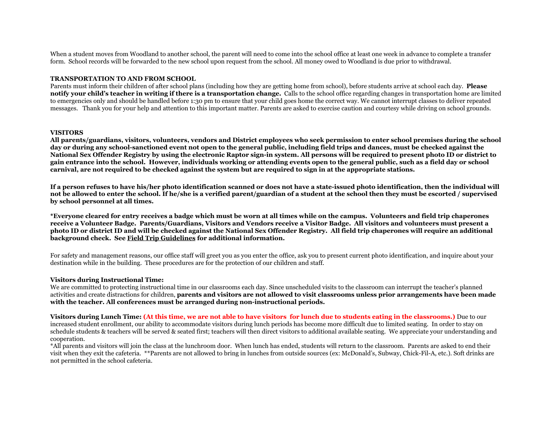When a student moves from Woodland to another school, the parent will need to come into the school office at least one week in advance to complete a transfer form. School records will be forwarded to the new school upon request from the school. All money owed to Woodland is due prior to withdrawal.

#### **TRANSPORTATION TO AND FROM SCHOOL**

Parents must inform their children of after school plans (including how they are getting home from school), before students arrive at school each day. **Please notify your child's teacher in writing if there is a transportation change.** Calls to the school office regarding changes in transportation home are limited to emergencies only and should be handled before 1:30 pm to ensure that your child goes home the correct way. We cannot interrupt classes to deliver repeated messages. Thank you for your help and attention to this important matter. Parents are asked to exercise caution and courtesy while driving on school grounds.

#### **VISITORS**

**All parents/guardians, visitors, volunteers, vendors and District employees who seek permission to enter school premises during the school day or during any school-sanctioned event not open to the general public, including field trips and dances, must be checked against the National Sex Offender Registry by using the electronic Raptor sign-in system. All persons will be required to present photo ID or district to gain entrance into the school. However, individuals working or attending events open to the general public, such as a field day or school carnival, are not required to be checked against the system but are required to sign in at the appropriate stations.**

**If a person refuses to have his/her photo identification scanned or does not have a state-issued photo identification, then the individual will not be allowed to enter the school. If he/she is a verified parent/guardian of a student at the school then they must be escorted / supervised by school personnel at all times.**

**\*Everyone cleared for entry receives a badge which must be worn at all times while on the campus. Volunteers and field trip chaperones receive a Volunteer Badge. Parents/Guardians, Visitors and Vendors receive a Visitor Badge. All visitors and volunteers must present a photo ID or district ID and will be checked against the National Sex Offender Registry. All field trip chaperones will require an additional background check. See Field Trip Guidelines for additional information.**

For safety and management reasons, our office staff will greet you as you enter the office, ask you to present current photo identification, and inquire about your destination while in the building. These procedures are for the protection of our children and staff.

#### **Visitors during Instructional Time:**

We are committed to protecting instructional time in our classrooms each day. Since unscheduled visits to the classroom can interrupt the teacher's planned activities and create distractions for children, **parents and visitors are not allowed to visit classrooms unless prior arrangements have been made with the teacher. All conferences must be arranged during non-instructional periods.**

**Visitors during Lunch Time: (At this time, we are not able to have visitors for lunch due to students eating in the classrooms.)** Due to our increased student enrollment, our ability to accommodate visitors during lunch periods has become more difficult due to limited seating. In order to stay on schedule students & teachers will be served & seated first; teachers will then direct visitors to additional available seating. We appreciate your understanding and cooperation.

\*All parents and visitors will join the class at the lunchroom door. When lunch has ended, students will return to the classroom. Parents are asked to end their visit when they exit the cafeteria. \*\*Parents are not allowed to bring in lunches from outside sources (ex: McDonald's, Subway, Chick-Fil-A, etc.). Soft drinks are not permitted in the school cafeteria.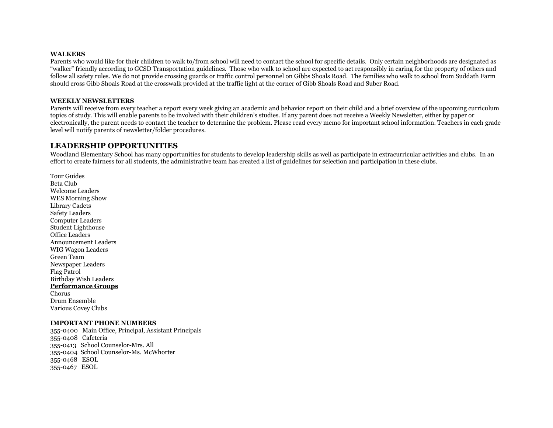#### **WALKERS**

Parents who would like for their children to walk to/from school will need to contact the school for specific details. Only certain neighborhoods are designated as "walker" friendly according to GCSD Transportation guidelines. Those who walk to school are expected to act responsibly in caring for the property of others and follow all safety rules. We do not provide crossing guards or traffic control personnel on Gibbs Shoals Road. The families who walk to school from Suddath Farm should cross Gibb Shoals Road at the crosswalk provided at the traffic light at the corner of Gibb Shoals Road and Suber Road.

#### **WEEKLY NEWSLETTERS**

Parents will receive from every teacher a report every week giving an academic and behavior report on their child and a brief overview of the upcoming curriculum topics of study. This will enable parents to be involved with their children's studies. If any parent does not receive a Weekly Newsletter, either by paper or electronically, the parent needs to contact the teacher to determine the problem. Please read every memo for important school information. Teachers in each grade level will notify parents of newsletter/folder procedures.

## **LEADERSHIP OPPORTUNITIES**

Woodland Elementary School has many opportunities for students to develop leadership skills as well as participate in extracurricular activities and clubs. In an effort to create fairness for all students, the administrative team has created a list of guidelines for selection and participation in these clubs.

Tour Guides Beta Club Welcome Leaders WES Morning Show Library Cadets Safety Leaders Computer Leaders Student Lighthouse Office Leaders Announcement Leaders WIG Wagon Leaders Green Team Newspaper Leaders Flag Patrol Birthday Wish Leaders **Performance Groups** Chorus Drum Ensemble Various Covey Clubs

#### **IMPORTANT PHONE NUMBERS**

355-0400 Main Office, Principal, Assistant Principals 355-0408 Cafeteria 355-0413 School Counselor-Mrs. All 355-0404 School Counselor-Ms. McWhorter 355-0468 ESOL 355-0467 ESOL